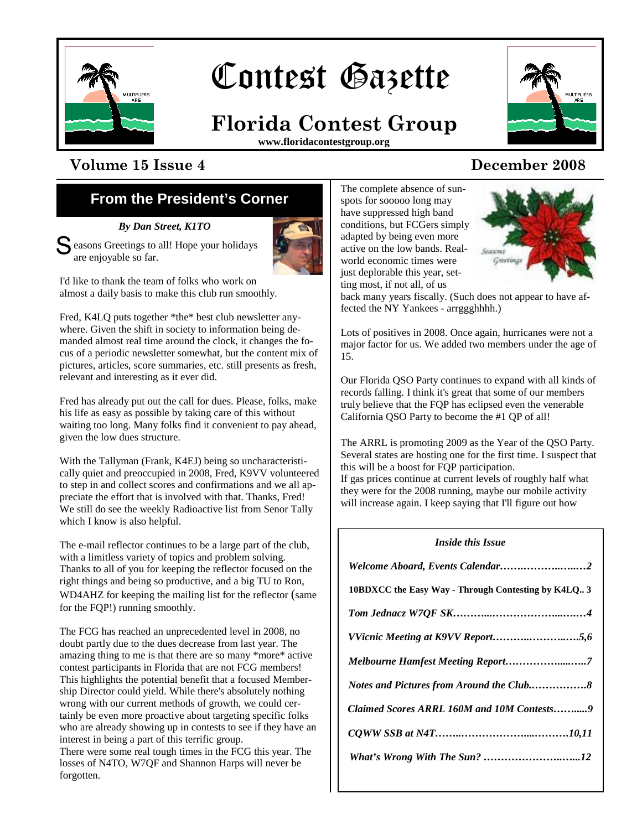

# Contest Gazette

## **Florida Contest Group**

**www.floridacontestgroup.org** 

### **Volume 15 Issue 4 December 2008**

### **From the President's Corner**

*By Dan Street, K1TO* 

easons Greetings to all! Hope your holidays are enjoyable so far.



I'd like to thank the team of folks who work on almost a daily basis to make this club run smoothly.

Fred, K4LQ puts together \*the\* best club newsletter anywhere. Given the shift in society to information being demanded almost real time around the clock, it changes the focus of a periodic newsletter somewhat, but the content mix of pictures, articles, score summaries, etc. still presents as fresh, relevant and interesting as it ever did.

Fred has already put out the call for dues. Please, folks, make his life as easy as possible by taking care of this without waiting too long. Many folks find it convenient to pay ahead, given the low dues structure.

With the Tallyman (Frank, K4EJ) being so uncharacteristically quiet and preoccupied in 2008, Fred, K9VV volunteered to step in and collect scores and confirmations and we all appreciate the effort that is involved with that. Thanks, Fred! We still do see the weekly Radioactive list from Senor Tally which I know is also helpful.

The e-mail reflector continues to be a large part of the club, with a limitless variety of topics and problem solving. Thanks to all of you for keeping the reflector focused on the right things and being so productive, and a big TU to Ron, WD4AHZ for keeping the mailing list for the reflector (same for the FQP!) running smoothly.

The FCG has reached an unprecedented level in 2008, no doubt partly due to the dues decrease from last year. The amazing thing to me is that there are so many \*more\* active contest participants in Florida that are not FCG members! This highlights the potential benefit that a focused Membership Director could yield. While there's absolutely nothing wrong with our current methods of growth, we could certainly be even more proactive about targeting specific folks who are already showing up in contests to see if they have an interest in being a part of this terrific group.

There were some real tough times in the FCG this year. The losses of N4TO, W7QF and Shannon Harps will never be forgotten.

The complete absence of sunspots for sooooo long may have suppressed high band conditions, but FCGers simply adapted by being even more active on the low bands. Realworld economic times were just deplorable this year, setting most, if not all, of us





back many years fiscally. (Such does not appear to have affected the NY Yankees - arrggghhhh.)

Lots of positives in 2008. Once again, hurricanes were not a major factor for us. We added two members under the age of 15.

Our Florida QSO Party continues to expand with all kinds of records falling. I think it's great that some of our members truly believe that the FQP has eclipsed even the venerable California QSO Party to become the #1 QP of all!

The ARRL is promoting 2009 as the Year of the QSO Party. Several states are hosting one for the first time. I suspect that this will be a boost for FQP participation. If gas prices continue at current levels of roughly half what they were for the 2008 running, maybe our mobile activity will increase again. I keep saying that I'll figure out how

### *Inside this Issue*

| Welcome Aboard, Events Calendar2                    |
|-----------------------------------------------------|
| 10BDXCC the Easy Way - Through Contesting by K4LQ 3 |
|                                                     |
|                                                     |
| Melbourne Hamfest Meeting Report7                   |
| Notes and Pictures from Around the Club8            |
| Claimed Scores ARRL 160M and 10M Contests9          |
|                                                     |
|                                                     |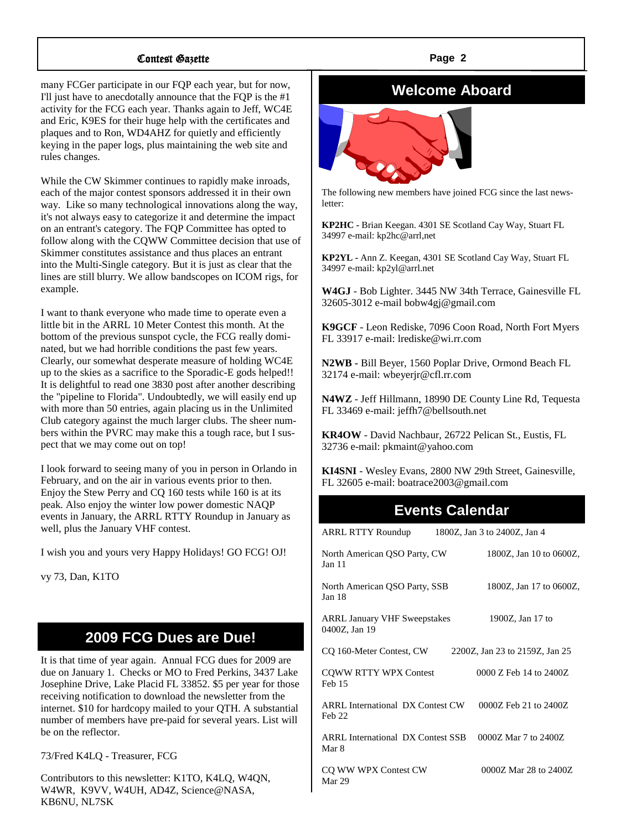many FCGer participate in our FQP each year, but for now, I'll just have to anecdotally announce that the FQP is the #1 activity for the FCG each year. Thanks again to Jeff, WC4E and Eric, K9ES for their huge help with the certificates and plaques and to Ron, WD4AHZ for quietly and efficiently keying in the paper logs, plus maintaining the web site and rules changes.

While the CW Skimmer continues to rapidly make inroads, each of the major contest sponsors addressed it in their own way. Like so many technological innovations along the way, it's not always easy to categorize it and determine the impact on an entrant's category. The FQP Committee has opted to follow along with the CQWW Committee decision that use of Skimmer constitutes assistance and thus places an entrant into the Multi-Single category. But it is just as clear that the lines are still blurry. We allow bandscopes on ICOM rigs, for example.

I want to thank everyone who made time to operate even a little bit in the ARRL 10 Meter Contest this month. At the bottom of the previous sunspot cycle, the FCG really dominated, but we had horrible conditions the past few years. Clearly, our somewhat desperate measure of holding WC4E up to the skies as a sacrifice to the Sporadic-E gods helped!! It is delightful to read one 3830 post after another describing the "pipeline to Florida". Undoubtedly, we will easily end up with more than 50 entries, again placing us in the Unlimited Club category against the much larger clubs. The sheer numbers within the PVRC may make this a tough race, but I suspect that we may come out on top!

I look forward to seeing many of you in person in Orlando in February, and on the air in various events prior to then. Enjoy the Stew Perry and CQ 160 tests while 160 is at its peak. Also enjoy the winter low power domestic NAQP events in January, the ARRL RTTY Roundup in January as well, plus the January VHF contest.

I wish you and yours very Happy Holidays! GO FCG! OJ!

vy 73, Dan, K1TO

### **2009 FCG Dues are Due!**

It is that time of year again. Annual FCG dues for 2009 are due on January 1. Checks or MO to Fred Perkins, 3437 Lake Josephine Drive, Lake Placid FL 33852. \$5 per year for those receiving notification to download the newsletter from the internet. \$10 for hardcopy mailed to your QTH. A substantial number of members have pre-paid for several years. List will be on the reflector.

73/Fred K4LQ - Treasurer, FCG

Contributors to this newsletter: K1TO, K4LQ, W4QN, W4WR, K9VV, W4UH, AD4Z, Science@NASA, KB6NU, NL7SK





The following new members have joined FCG since the last newsletter:

**KP2HC -** Brian Keegan. 4301 SE Scotland Cay Way, Stuart FL 34997 e-mail: kp2hc@arrl,net

**KP2YL -** Ann Z. Keegan, 4301 SE Scotland Cay Way, Stuart FL 34997 e-mail: kp2yl@arrl.net

**W4GJ** - Bob Lighter. 3445 NW 34th Terrace, Gainesville FL 32605-3012 e-mail bobw4gj@gmail.com

**K9GCF** - Leon Rediske, 7096 Coon Road, North Fort Myers FL 33917 e-mail: lrediske@wi.rr.com

**N2WB -** Bill Beyer, 1560 Poplar Drive, Ormond Beach FL 32174 e-mail: wbeyerjr@cfl.rr.com

**N4WZ** - Jeff Hillmann, 18990 DE County Line Rd, Tequesta FL 33469 e-mail: jeffh7@bellsouth.net

**KR4OW** - David Nachbaur, 26722 Pelican St., Eustis, FL 32736 e-mail: pkmaint@yahoo.com

**KI4SNI** - Wesley Evans, 2800 NW 29th Street, Gainesville, FL 32605 e-mail: boatrace2003@gmail.com

### **Events Calendar**

| ARRL RTTY Roundup                                            | 1800Z, Jan 3 to 2400Z, Jan 4   |
|--------------------------------------------------------------|--------------------------------|
| North American QSO Party, CW<br>Jan 11                       | 1800Z, Jan 10 to 0600Z,        |
| North American QSO Party, SSB<br>Jan 18                      | 1800Z, Jan 17 to 0600Z,        |
| <b>ARRL January VHF Sweepstakes</b><br>0400Z, Jan 19         | 1900Z, Jan 17 to               |
| CQ 160-Meter Contest, CW                                     | 2200Z, Jan 23 to 2159Z, Jan 25 |
| <b>COWW RTTY WPX Contest</b><br>Feb 15                       | 0000 Z Feb 14 to 2400Z         |
| <b>ARRL International DX Contest CW</b><br>Feb <sub>22</sub> | 0000Z Feb 21 to 2400Z          |
| <b>ARRL</b> International DX Contest SSB<br>Mar 8            | 0000Z Mar 7 to 2400Z           |
| CQ WW WPX Contest CW<br>Mar 29                               | 0000Z Mar 28 to 2400Z          |
|                                                              |                                |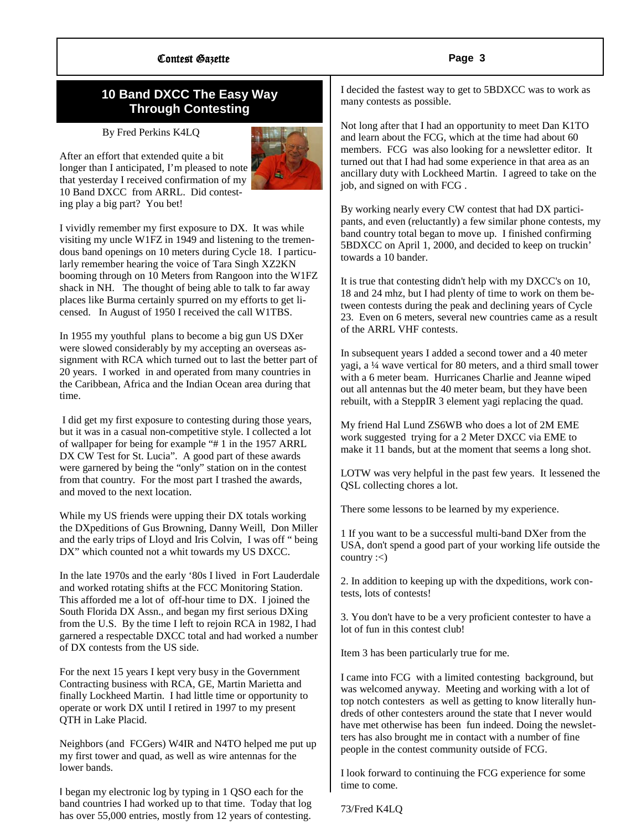### **10 Band DXCC The Easy Way Through Contesting**

By Fred Perkins K4LQ By Fred Perkins K4LQ

After an effort that extended quite a bit longer than I anticipated, I'm pleased to note that yesterday I received confirmation of my 10 Band DXCC from ARRL. Did contesting play a big part? You bet!



I vividly remember my first exposure to DX. It was while visiting my uncle W1FZ in 1949 and listening to the tremendous band openings on 10 meters during Cycle 18. I particularly remember hearing the voice of Tara Singh XZ2KN booming through on 10 Meters from Rangoon into the W1FZ shack in NH. The thought of being able to talk to far away places like Burma certainly spurred on my efforts to get licensed. In August of 1950 I received the call W1TBS.

In 1955 my youthful plans to become a big gun US DXer were slowed considerably by my accepting an overseas assignment with RCA which turned out to last the better part of 20 years. I worked in and operated from many countries in the Caribbean, Africa and the Indian Ocean area during that time.

 I did get my first exposure to contesting during those years, but it was in a casual non-competitive style. I collected a lot of wallpaper for being for example "# 1 in the 1957 ARRL DX CW Test for St. Lucia". A good part of these awards were garnered by being the "only" station on in the contest from that country. For the most part I trashed the awards, and moved to the next location.

While my US friends were upping their DX totals working the DXpeditions of Gus Browning, Danny Weill, Don Miller and the early trips of Lloyd and Iris Colvin, I was off " being DX" which counted not a whit towards my US DXCC.

In the late 1970s and the early '80s I lived in Fort Lauderdale and worked rotating shifts at the FCC Monitoring Station. This afforded me a lot of off-hour time to DX. I joined the South Florida DX Assn., and began my first serious DXing from the U.S. By the time I left to rejoin RCA in 1982, I had garnered a respectable DXCC total and had worked a number of DX contests from the US side.

For the next 15 years I kept very busy in the Government Contracting business with RCA, GE, Martin Marietta and finally Lockheed Martin. I had little time or opportunity to operate or work DX until I retired in 1997 to my present QTH in Lake Placid.

Neighbors (and FCGers) W4IR and N4TO helped me put up my first tower and quad, as well as wire antennas for the lower bands.

I began my electronic log by typing in 1 QSO each for the band countries I had worked up to that time. Today that log has over 55,000 entries, mostly from 12 years of contesting.

I decided the fastest way to get to 5BDXCC was to work as many contests as possible.

Not long after that I had an opportunity to meet Dan K1TO and learn about the FCG, which at the time had about 60 members. FCG was also looking for a newsletter editor. It turned out that I had had some experience in that area as an ancillary duty with Lockheed Martin. I agreed to take on the job, and signed on with FCG .

By working nearly every CW contest that had DX participants, and even (reluctantly) a few similar phone contests, my band country total began to move up. I finished confirming 5BDXCC on April 1, 2000, and decided to keep on truckin' towards a 10 bander.

It is true that contesting didn't help with my DXCC's on 10, 18 and 24 mhz, but I had plenty of time to work on them between contests during the peak and declining years of Cycle 23. Even on 6 meters, several new countries came as a result of the ARRL VHF contests.

In subsequent years I added a second tower and a 40 meter yagi, a ¼ wave vertical for 80 meters, and a third small tower with a 6 meter beam. Hurricanes Charlie and Jeanne wiped out all antennas but the 40 meter beam, but they have been rebuilt, with a SteppIR 3 element yagi replacing the quad.

My friend Hal Lund ZS6WB who does a lot of 2M EME work suggested trying for a 2 Meter DXCC via EME to make it 11 bands, but at the moment that seems a long shot.

LOTW was very helpful in the past few years. It lessened the QSL collecting chores a lot.

There some lessons to be learned by my experience.

1 If you want to be a successful multi-band DXer from the USA, don't spend a good part of your working life outside the country :<)

2. In addition to keeping up with the dxpeditions, work contests, lots of contests!

3. You don't have to be a very proficient contester to have a lot of fun in this contest club!

Item 3 has been particularly true for me.

I came into FCG with a limited contesting background, but was welcomed anyway. Meeting and working with a lot of top notch contesters as well as getting to know literally hundreds of other contesters around the state that I never would have met otherwise has been fun indeed. Doing the newsletters has also brought me in contact with a number of fine people in the contest community outside of FCG.

I look forward to continuing the FCG experience for some time to come.

73/Fred K4LQ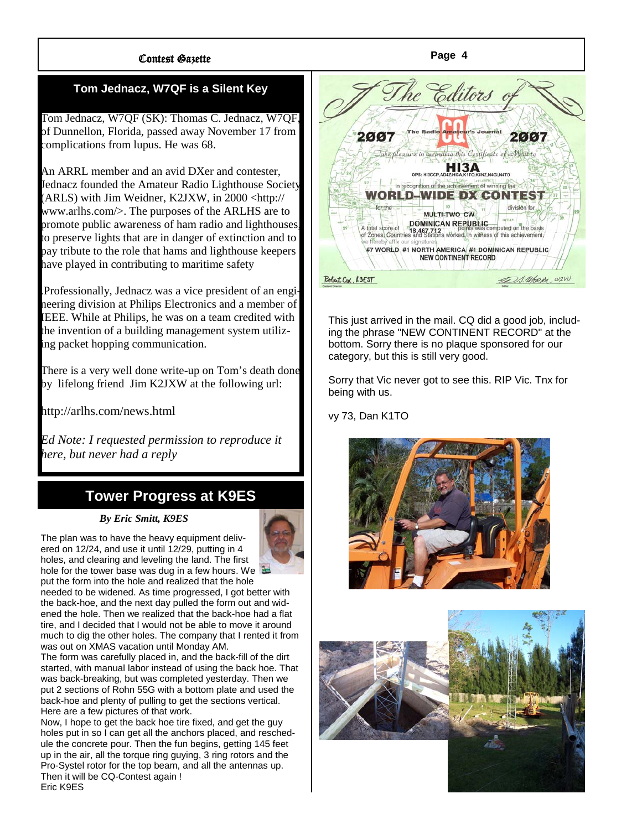### **Tom Jednacz, W7QF is a Silent Key**

Tom Jednacz, W7QF (SK): Thomas C. Jednacz, W7QF, of Dunnellon, Florida, passed away November 17 from complications from lupus. He was 68.

An ARRL member and an avid DXer and contester, Jednacz founded the Amateur Radio Lighthouse Society (ARLS) with Jim Weidner, K2JXW, in 2000 <http:// www.arlhs.com/>. The purposes of the ARLHS are to promote public awareness of ham radio and lighthouses, to preserve lights that are in danger of extinction and to pay tribute to the role that hams and lighthouse keepers have played in contributing to maritime safety

.Professionally, Jednacz was a vice president of an engineering division at Philips Electronics and a member of IEEE. While at Philips, he was on a team credited with the invention of a building management system utilizing packet hopping communication.

There is a very well done write-up on Tom's death done by lifelong friend Jim K2JXW at the following url:

http://arlhs.com/news.html

*Ed Note: I requested permission to reproduce it here, but never had a reply* 

### **Tower Progress at K9ES**

### *By Eric Smitt, K9ES*

The plan was to have the heavy equipment delivered on 12/24, and use it until 12/29, putting in 4 holes, and clearing and leveling the land. The first hole for the tower base was dug in a few hours. We

put the form into the hole and realized that the hole needed to be widened. As time progressed, I got better with the back-hoe, and the next day pulled the form out and widened the hole. Then we realized that the back-hoe had a flat tire, and I decided that I would not be able to move it around much to dig the other holes. The company that I rented it from was out on XMAS vacation until Monday AM.

The form was carefully placed in, and the back-fill of the dirt started, with manual labor instead of using the back hoe. That was back-breaking, but was completed yesterday. Then we put 2 sections of Rohn 55G with a bottom plate and used the back-hoe and plenty of pulling to get the sections vertical. Here are a few pictures of that work.

Now, I hope to get the back hoe tire fixed, and get the guy holes put in so I can get all the anchors placed, and reschedule the concrete pour. Then the fun begins, getting 145 feet up in the air, all the torque ring guying, 3 ring rotors and the Pro-Systel rotor for the top beam, and all the antennas up. Then it will be CQ-Contest again ! Eric K9ES



This just arrived in the mail. CQ did a good job, including the phrase "NEW CONTINENT RECORD" at the bottom. Sorry there is no plaque sponsored for our category, but this is still very good.

Sorry that Vic never got to see this. RIP Vic. Tnx for being with us.

### vy 73, Dan K1TO



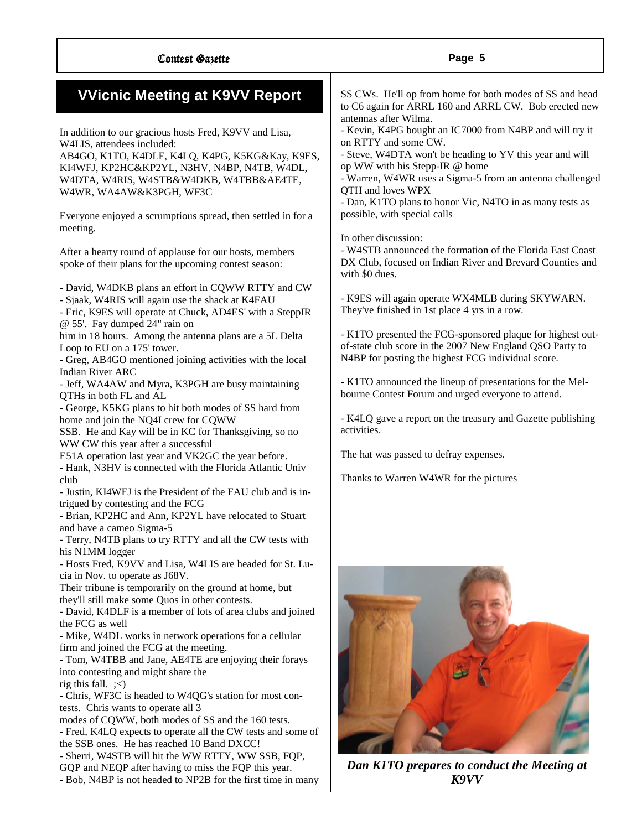| <b>VVicnic Meeting at K9VV Report</b>                                                                                                          | SS CWs. He'll op from home for both modes of SS and head<br>to C6 again for ARRL 160 and ARRL CW. Bob erected new<br>antennas after Wilma.   |
|------------------------------------------------------------------------------------------------------------------------------------------------|----------------------------------------------------------------------------------------------------------------------------------------------|
| In addition to our gracious hosts Fred, K9VV and Lisa,<br>W4LIS, attendees included:                                                           | - Kevin, K4PG bought an IC7000 from N4BP and will try it<br>on RTTY and some CW.<br>- Steve, W4DTA won't be heading to YV this year and will |
| AB4GO, K1TO, K4DLF, K4LQ, K4PG, K5KG&Kay, K9ES,<br>KI4WFJ, KP2HC&KP2YL, N3HV, N4BP, N4TB, W4DL,<br>W4DTA, W4RIS, W4STB&W4DKB, W4TBB&AE4TE,     | op WW with his Stepp-IR @ home<br>- Warren, W4WR uses a Sigma-5 from an antenna challenged                                                   |
| W4WR, WA4AW&K3PGH, WF3C<br>Everyone enjoyed a scrumptious spread, then settled in for a                                                        | QTH and loves WPX<br>- Dan, K1TO plans to honor Vic, N4TO in as many tests as<br>possible, with special calls                                |
| meeting.                                                                                                                                       | In other discussion:                                                                                                                         |
| After a hearty round of applause for our hosts, members                                                                                        | - W4STB announced the formation of the Florida East Coast                                                                                    |
| spoke of their plans for the upcoming contest season:                                                                                          | DX Club, focused on Indian River and Brevard Counties and<br>with \$0 dues.                                                                  |
| - David, W4DKB plans an effort in CQWW RTTY and CW                                                                                             |                                                                                                                                              |
| - Sjaak, W4RIS will again use the shack at K4FAU<br>- Eric, K9ES will operate at Chuck, AD4ES' with a SteppIR<br>@ 55'. Fay dumped 24" rain on | - K9ES will again operate WX4MLB during SKYWARN.<br>They've finished in 1st place 4 yrs in a row.                                            |
| him in 18 hours. Among the antenna plans are a 5L Delta                                                                                        | - K1TO presented the FCG-sponsored plaque for highest out-                                                                                   |
| Loop to EU on a 175' tower.                                                                                                                    | of-state club score in the 2007 New England QSO Party to                                                                                     |
| - Greg, AB4GO mentioned joining activities with the local<br><b>Indian River ARC</b>                                                           | N4BP for posting the highest FCG individual score.                                                                                           |
| - Jeff, WA4AW and Myra, K3PGH are busy maintaining                                                                                             | - K1TO announced the lineup of presentations for the Mel-                                                                                    |
| QTHs in both FL and AL                                                                                                                         | bourne Contest Forum and urged everyone to attend.                                                                                           |
| - George, K5KG plans to hit both modes of SS hard from                                                                                         |                                                                                                                                              |
| home and join the NQ4I crew for CQWW                                                                                                           | - K4LQ gave a report on the treasury and Gazette publishing<br>activities.                                                                   |
| SSB. He and Kay will be in KC for Thanksgiving, so no<br>WW CW this year after a successful                                                    |                                                                                                                                              |
| E51A operation last year and VK2GC the year before.                                                                                            | The hat was passed to defray expenses.                                                                                                       |
| - Hank, N3HV is connected with the Florida Atlantic Univ                                                                                       |                                                                                                                                              |
| club                                                                                                                                           | Thanks to Warren W4WR for the pictures                                                                                                       |
| - Justin, KI4WFJ is the President of the FAU club and is in-                                                                                   |                                                                                                                                              |
| trigued by contesting and the FCG<br>- Brian, KP2HC and Ann, KP2YL have relocated to Stuart                                                    |                                                                                                                                              |
| and have a cameo Sigma-5                                                                                                                       |                                                                                                                                              |
| - Terry, N4TB plans to try RTTY and all the CW tests with                                                                                      |                                                                                                                                              |
| his N1MM logger                                                                                                                                |                                                                                                                                              |
| - Hosts Fred, K9VV and Lisa, W4LIS are headed for St. Lu-<br>cia in Nov. to operate as J68V.                                                   |                                                                                                                                              |
| Their tribune is temporarily on the ground at home, but                                                                                        |                                                                                                                                              |
| they'll still make some Quos in other contests.                                                                                                |                                                                                                                                              |
| - David, K4DLF is a member of lots of area clubs and joined                                                                                    |                                                                                                                                              |
| the FCG as well                                                                                                                                |                                                                                                                                              |
| - Mike, W4DL works in network operations for a cellular<br>firm and joined the FCG at the meeting.                                             |                                                                                                                                              |
| - Tom, W4TBB and Jane, AE4TE are enjoying their forays                                                                                         |                                                                                                                                              |
| into contesting and might share the                                                                                                            |                                                                                                                                              |
| rig this fall. $\div$                                                                                                                          |                                                                                                                                              |
| - Chris, WF3C is headed to W4QG's station for most con-                                                                                        |                                                                                                                                              |
| tests. Chris wants to operate all 3<br>modes of CQWW, both modes of SS and the 160 tests.                                                      |                                                                                                                                              |
| - Fred, K4LQ expects to operate all the CW tests and some of                                                                                   |                                                                                                                                              |
| the SSB ones. He has reached 10 Band DXCC!                                                                                                     |                                                                                                                                              |
| - Sherri, W4STB will hit the WW RTTY, WW SSB, FQP,                                                                                             | Dan K1TO prepares to conduct the Meeting at                                                                                                  |
| GQP and NEQP after having to miss the FQP this year.<br>- Bob, N4BP is not headed to NP2B for the first time in many                           | <b>K9VV</b>                                                                                                                                  |
|                                                                                                                                                |                                                                                                                                              |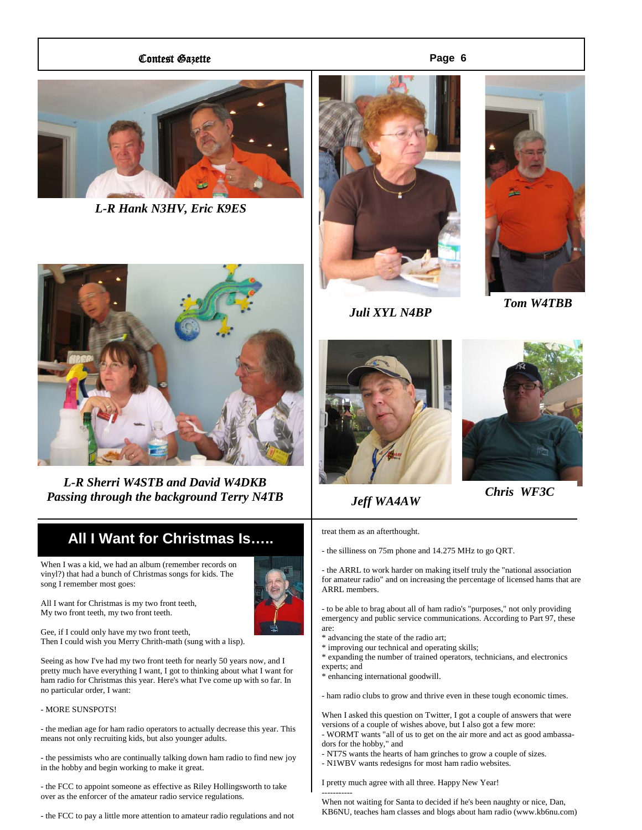

*L-R Hank N3HV, Eric K9ES* 



*L-R Sherri W4STB and David W4DKB Passing through the background Terry N4TB* 

### **All I Want for Christmas Is…..**

When I was a kid, we had an album (remember records on vinyl?) that had a bunch of Christmas songs for kids. The song I remember most goes:



All I want for Christmas is my two front teeth, My two front teeth, my two front teeth.

Gee, if I could only have my two front teeth, Then I could wish you Merry Chrith-math (sung with a lisp).

Seeing as how I've had my two front teeth for nearly 50 years now, and I pretty much have everything I want, I got to thinking about what I want for ham radio for Christmas this year. Here's what I've come up with so far. In no particular order, I want:

### - MORE SUNSPOTS!

- the median age for ham radio operators to actually decrease this year. This means not only recruiting kids, but also younger adults.

- the pessimists who are continually talking down ham radio to find new joy in the hobby and begin working to make it great.

- the FCC to appoint someone as effective as Riley Hollingsworth to take over as the enforcer of the amateur radio service regulations.

- the FCC to pay a little more attention to amateur radio regulations and not



*Juli XYL N4BP* 



*Tom W4TBB* 





*Jeff WA4AW* 

treat them as an afterthought.

- the silliness on 75m phone and 14.275 MHz to go QRT.

- the ARRL to work harder on making itself truly the "national association for amateur radio" and on increasing the percentage of licensed hams that are ARRL members.

- to be able to brag about all of ham radio's "purposes," not only providing emergency and public service communications. According to Part 97, these are:

- \* advancing the state of the radio art;
- \* improving our technical and operating skills;
- \* expanding the number of trained operators, technicians, and electronics experts; and
- \* enhancing international goodwill.

- ham radio clubs to grow and thrive even in these tough economic times.

When I asked this question on Twitter, I got a couple of answers that were versions of a couple of wishes above, but I also got a few more: - WORMT wants "all of us to get on the air more and act as good ambassa-

- dors for the hobby," and
- NT7S wants the hearts of ham grinches to grow a couple of sizes. - N1WBV wants redesigns for most ham radio websites.
- 

I pretty much agree with all three. Happy New Year!

----------- When not waiting for Santa to decided if he's been naughty or nice, Dan, KB6NU, teaches ham classes and blogs about ham radio (www.kb6nu.com)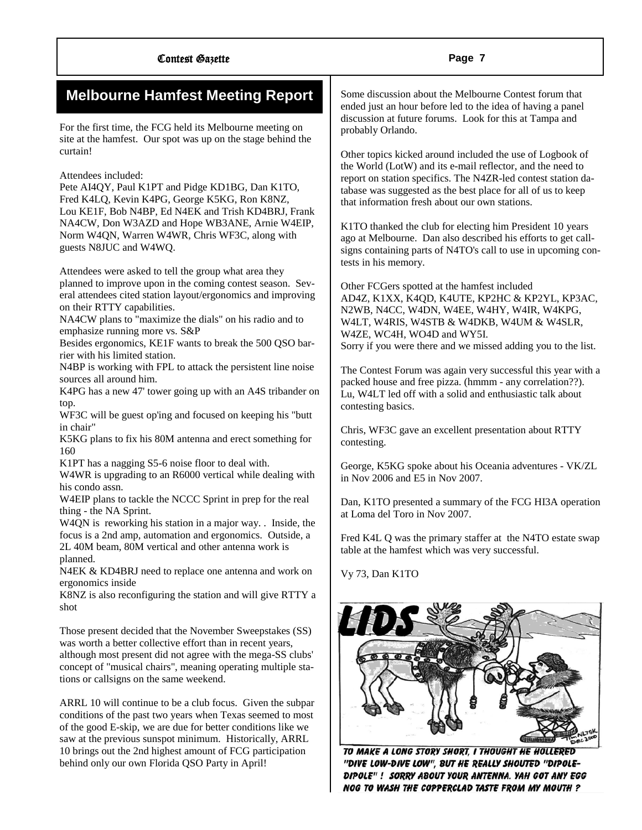### **Melbourne Hamfest Meeting Report**

For the first time, the FCG held its Melbourne meeting on site at the hamfest. Our spot was up on the stage behind the curtain!

### Attendees included:

Pete AI4QY, Paul K1PT and Pidge KD1BG, Dan K1TO, Fred K4LQ, Kevin K4PG, George K5KG, Ron K8NZ, Lou KE1F, Bob N4BP, Ed N4EK and Trish KD4BRJ, Frank NA4CW, Don W3AZD and Hope WB3ANE, Arnie W4EIP, Norm W4QN, Warren W4WR, Chris WF3C, along with guests N8JUC and W4WQ.

Attendees were asked to tell the group what area they planned to improve upon in the coming contest season. Several attendees cited station layout/ergonomics and improving on their RTTY capabilities.

NA4CW plans to "maximize the dials" on his radio and to emphasize running more vs. S&P

Besides ergonomics, KE1F wants to break the 500 QSO barrier with his limited station.

N4BP is working with FPL to attack the persistent line noise sources all around him.

K4PG has a new 47' tower going up with an A4S tribander on top.

WF3C will be guest op'ing and focused on keeping his "butt in chair"

K5KG plans to fix his 80M antenna and erect something for 160

K1PT has a nagging S5-6 noise floor to deal with.

W4WR is upgrading to an R6000 vertical while dealing with his condo assn.

W4EIP plans to tackle the NCCC Sprint in prep for the real thing - the NA Sprint.

W4QN is reworking his station in a major way. . Inside, the focus is a 2nd amp, automation and ergonomics. Outside, a 2L 40M beam, 80M vertical and other antenna work is planned.

N4EK & KD4BRJ need to replace one antenna and work on ergonomics inside

K8NZ is also reconfiguring the station and will give RTTY a shot

Those present decided that the November Sweepstakes (SS) was worth a better collective effort than in recent years, although most present did not agree with the mega-SS clubs' concept of "musical chairs", meaning operating multiple stations or callsigns on the same weekend.

ARRL 10 will continue to be a club focus. Given the subpar conditions of the past two years when Texas seemed to most of the good E-skip, we are due for better conditions like we saw at the previous sunspot minimum. Historically, ARRL 10 brings out the 2nd highest amount of FCG participation behind only our own Florida QSO Party in April!

Some discussion about the Melbourne Contest forum that ended just an hour before led to the idea of having a panel discussion at future forums. Look for this at Tampa and probably Orlando.

Other topics kicked around included the use of Logbook of the World (LotW) and its e-mail reflector, and the need to report on station specifics. The N4ZR-led contest station database was suggested as the best place for all of us to keep that information fresh about our own stations.

K1TO thanked the club for electing him President 10 years ago at Melbourne. Dan also described his efforts to get callsigns containing parts of N4TO's call to use in upcoming contests in his memory.

Other FCGers spotted at the hamfest included AD4Z, K1XX, K4QD, K4UTE, KP2HC & KP2YL, KP3AC, N2WB, N4CC, W4DN, W4EE, W4HY, W4IR, W4KPG, W4LT, W4RIS, W4STB & W4DKB, W4UM & W4SLR, W4ZE, WC4H, WO4D and WY5I. Sorry if you were there and we missed adding you to the list.

The Contest Forum was again very successful this year with a packed house and free pizza. (hmmm - any correlation??). Lu, W4LT led off with a solid and enthusiastic talk about contesting basics.

Chris, WF3C gave an excellent presentation about RTTY contesting.

George, K5KG spoke about his Oceania adventures - VK/ZL in Nov 2006 and E5 in Nov 2007.

Dan, K1TO presented a summary of the FCG HI3A operation at Loma del Toro in Nov 2007.

Fred K4L Q was the primary staffer at the N4TO estate swap table at the hamfest which was very successful.

Vy 73, Dan K1TO



TO MAKE A LONG STORY SHORT, I THOUGHT HE HOLLERED "DIVE LOW-DIVE LOW", BUT HE REALLY SHOUTED "DIPOLE-DIPOLE"! SORRY ABOUT YOUR ANTENNA. YAH GOT ANY EGG NOG TO WASH THE COPPERCLAD TASTE FROM MY MOUTH ?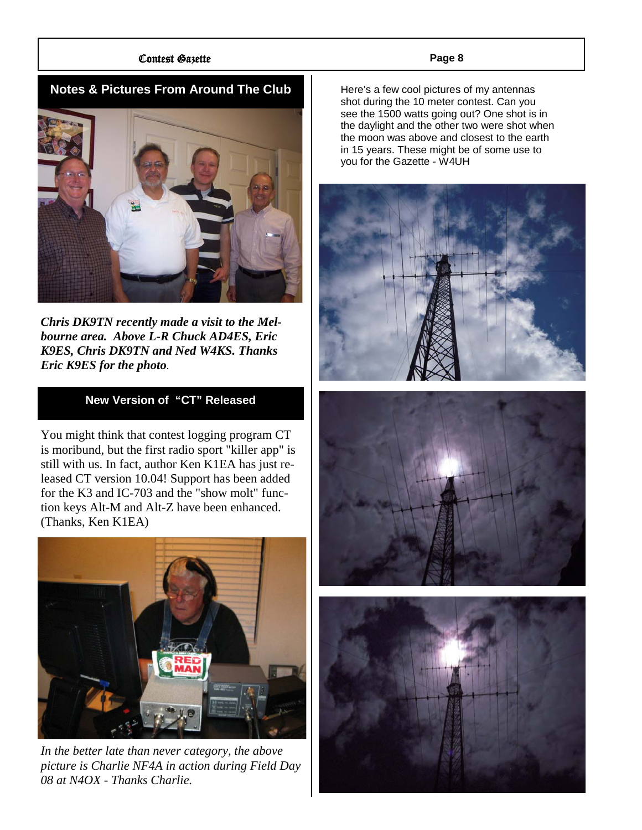### Contest Gazette **Contest Gazette Page 8**

### **Notes & Pictures From Around The Club | Here's a few cool pictures of my antennas**



*Chris DK9TN recently made a visit to the Melbourne area. Above L-R Chuck AD4ES, Eric K9ES, Chris DK9TN and Ned W4KS. Thanks Eric K9ES for the photo*.

### **New Version of "CT" Released**

You might think that contest logging program CT is moribund, but the first radio sport "killer app" is still with us. In fact, author Ken K1EA has just released CT version 10.04! Support has been added for the K3 and IC-703 and the "show molt" function keys Alt-M and Alt-Z have been enhanced. (Thanks, Ken K1EA)



*In the better late than never category, the above picture is Charlie NF4A in action during Field Day 08 at N4OX - Thanks Charlie.* 

shot during the 10 meter contest. Can you see the 1500 watts going out? One shot is in the daylight and the other two were shot when the moon was above and closest to the earth in 15 years. These might be of some use to you for the Gazette - W4UH





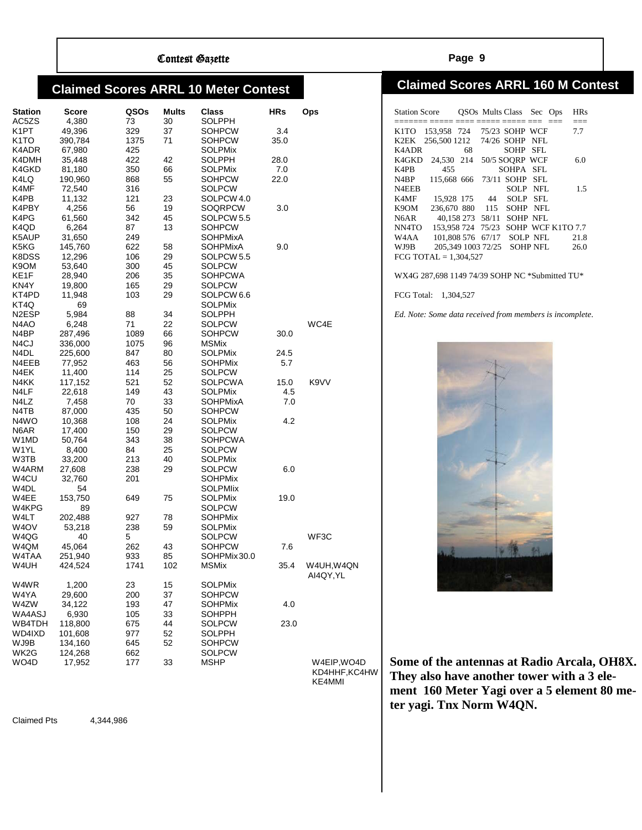### **Claimed Scores ARRL 10 Meter Contest**

| <b>Station</b><br>AC5ZS | <b>Score</b><br>4,380 | QSOs<br>73 | Mults<br>30 | Class<br><b>SOLPPH</b> | HRs  | Ops                     |
|-------------------------|-----------------------|------------|-------------|------------------------|------|-------------------------|
| K1PT                    | 49,396                | 329        | 37          | SOHPCW                 | 3.4  |                         |
| K1TO                    | 390,784               | 1375       | 71          | <b>SOHPCW</b>          | 35.0 |                         |
| K4ADR                   | 67,980                | 425        |             | SOLPMix                |      |                         |
| K4DMH                   | 35,448                | 422        | 42          | <b>SOLPPH</b>          | 28.0 |                         |
| K4GKD                   |                       |            |             |                        |      |                         |
|                         | 81,180                | 350        | 66          | <b>SOLPMix</b>         | 7.0  |                         |
| K4LQ                    | 190,960               | 868        | 55          | <b>SOHPCW</b>          | 22.0 |                         |
| K4MF                    | 72,540                | 316        |             | <b>SOLPCW</b>          |      |                         |
| K4PB                    | 11,132                | 121        | 23          | SOLPCW 4.0             |      |                         |
| K4PBY                   | 4,256                 | 56         | 19          | SOQRPCW                | 3.0  |                         |
| K4PG                    | 61,560                | 342        | 45          | SOLPCW 5.5             |      |                         |
| K4QD                    | 6,264                 | 87         | 13          | <b>SOHPCW</b>          |      |                         |
| K5AUP                   | 31,650                | 249        |             | <b>SOHPMixA</b>        |      |                         |
| K5KG                    | 145,760               | 622        | 58          | SOHPMixA               | 9.0  |                         |
| K8DSS                   | 12,296                | 106        | 29          | SOLPCW 5.5             |      |                         |
| K9OM                    | 53,640                | 300        | 45          | <b>SOLPCW</b>          |      |                         |
| KE1F                    | 28,940                | 206        | 35          | SOHPCWA                |      |                         |
| KN4Y                    | 19,800                | 165        | 29          | <b>SOLPCW</b>          |      |                         |
| KT4PD                   | 11,948                | 103        | 29          | SOLPCW 6.6             |      |                         |
| KT4Q                    | 69                    |            |             | SOLPMix                |      |                         |
| N2ESP                   | 5,984                 | 88         | 34          | SOLPPH                 |      |                         |
| N4AO                    | 6,248                 | 71         | 22          | <b>SOLPCW</b>          |      | WC4E                    |
| N4BP                    | 287,496               | 1089       | 66          | <b>SOHPCW</b>          | 30.0 |                         |
|                         |                       |            |             |                        |      |                         |
| N4CJ                    | 336,000               | 1075       | 96          | <b>MSMix</b>           |      |                         |
| N4DL                    | 225,600               | 847        | 80          | <b>SOLPMix</b>         | 24.5 |                         |
| N4EEB                   | 77,952                | 463        | 56          | <b>SOHPMix</b>         | 5.7  |                         |
| N4EK                    | 11,400                | 114        | 25          | <b>SOLPCW</b>          |      |                         |
| N4KK                    | 117,152               | 521        | 52          | <b>SOLPCWA</b>         | 15.0 | K9VV                    |
| N4LF                    | 22,618                | 149        | 43          | <b>SOLPMix</b>         | 4.5  |                         |
| N4LZ                    | 7,458                 | 70         | 33          | <b>SOHPMixA</b>        | 7.0  |                         |
| N4TB                    | 87,000                | 435        | 50          | <b>SOHPCW</b>          |      |                         |
| N4WO                    | 10,368                | 108        | 24          | <b>SOLPMix</b>         | 4.2  |                         |
| N6AR                    | 17,400                | 150        | 29          | <b>SOLPCW</b>          |      |                         |
| W1MD                    | 50,764                | 343        | 38          | <b>SOHPCWA</b>         |      |                         |
| W1YL                    | 8,400                 | 84         | 25          | <b>SOLPCW</b>          |      |                         |
| W3TB                    | 33,200                | 213        | 40          | <b>SOLPMix</b>         |      |                         |
| W4ARM                   | 27,608                | 238        | 29          | <b>SOLPCW</b>          | 6.0  |                         |
| W4CU                    | 32,760                | 201        |             | SOHPMix                |      |                         |
| W4DL                    | 54                    |            |             | <b>SOLPMIIX</b>        |      |                         |
| W4EE                    | 153,750               | 649        | 75          | <b>SOLPMix</b>         | 19.0 |                         |
| W4KPG                   | 89                    |            |             | <b>SOLPCW</b>          |      |                         |
| W4LT                    | 202,488               | 927        | 78          | <b>SOHPMix</b>         |      |                         |
|                         |                       | 238        | 59          | <b>SOLPMix</b>         |      |                         |
| W4OV                    | 53,218                |            |             |                        |      |                         |
| W4QG                    | 40                    | 5          |             | <b>SOLPCW</b>          |      | WF3C                    |
| W4QM                    | 45,064                | 262        | 43          | <b>SOHPCW</b>          | 7.6  |                         |
| W4TAA                   | 251,940               | 933        | 85          | SOHPMix 30.0           |      |                         |
| W4UH                    | 424,524               | 1741       | 102         | MSMix                  | 35.4 | W4UH, W4QN<br>AI4QY, YL |
| W4WR                    | 1,200                 | 23         | 15          | <b>SOLPMix</b>         |      |                         |
| W4YA                    | 29,600                | 200        | 37          | <b>SOHPCW</b>          |      |                         |
| W4ZW                    | 34,122                | 193        | 47          | <b>SOHPMix</b>         | 4.0  |                         |
| WA4ASJ                  | 6,930                 | 105        | 33          | SOHPPH                 |      |                         |
| WB4TDH                  | 118,800               | 675        | 44          | <b>SOLPCW</b>          | 23.0 |                         |
| WD4IXD                  | 101,608               | 977        | 52          | <b>SOLPPH</b>          |      |                         |
| WJ9B                    | 134,160               | 645        | 52          | <b>SOHPCW</b>          |      |                         |
| WK2G                    | 124,268               | 662        |             | <b>SOLPCW</b>          |      |                         |
| WO4D                    | 17,952                | 177        | 33          | <b>MSHP</b>            |      | W4EIP, WO4D             |

KE4MMI

### **Claimed Scores ARRL 160 M Contest**

| <b>Station Score</b>    |              |                    |       | OSOs Mults Class Sec Ops |     |  | <b>HRs</b> |
|-------------------------|--------------|--------------------|-------|--------------------------|-----|--|------------|
|                         |              |                    |       |                          |     |  |            |
| K <sub>1</sub> TO       | 153,958 724  |                    |       | 75/23 SOHP WCF           |     |  | 7.7        |
| K2EK                    | 256,500 1212 |                    |       | 74/26 SOHP               | NFL |  |            |
| K4ADR                   |              | 68                 |       | SOHP SFL                 |     |  |            |
| K4GKD                   | 24.530 214   |                    |       | 50/5 SOORP WCF           |     |  | 6.0        |
| K4PB                    | 455          |                    |       | <b>SOHPA</b>             | SFL |  |            |
| N <sub>4</sub> BP       | 115,668 666  |                    | 73/11 | <b>SOHP</b>              | SFL |  |            |
| N4EEB                   |              |                    |       | SOLP NFL                 |     |  | 1.5        |
| K4MF                    | 15.928 175   |                    | 44    | SOLP SFL                 |     |  |            |
| K9OM                    | 236,670 880  |                    | 115   | SOHP NFL                 |     |  |            |
| N <sub>6</sub> AR       |              | 40.158 273 58/11   |       | SOHP NFL                 |     |  |            |
| NN <sub>4</sub> TO      |              | 153.958 724 75/23  |       | SOHP WCF K1TO 7.7        |     |  |            |
| W <sub>4</sub> AA       |              | 101.808 576 67/17  |       | <b>SOLP NFL</b>          |     |  | 21.8       |
| WJ9B                    |              | 205.349 1003 72/25 |       | <b>SOHP NFL</b>          |     |  | 26.0       |
| FCG TOTAL $= 1.304.527$ |              |                    |       |                          |     |  |            |

WX4G 287,698 1149 74/39 SOHP NC \*Submitted TU\*

FCG Total: 1,304,527

KD4HHF,KC4HW<br>KE4MMI

*Ed. Note: Some data received from members is incomplete*.



**Some of the antennas at Radio Arcala, OH8X. They also have another tower with a 3 element 160 Meter Yagi over a 5 element 80 meter yagi. Tnx Norm W4QN.** 

Claimed Pts 4,344,986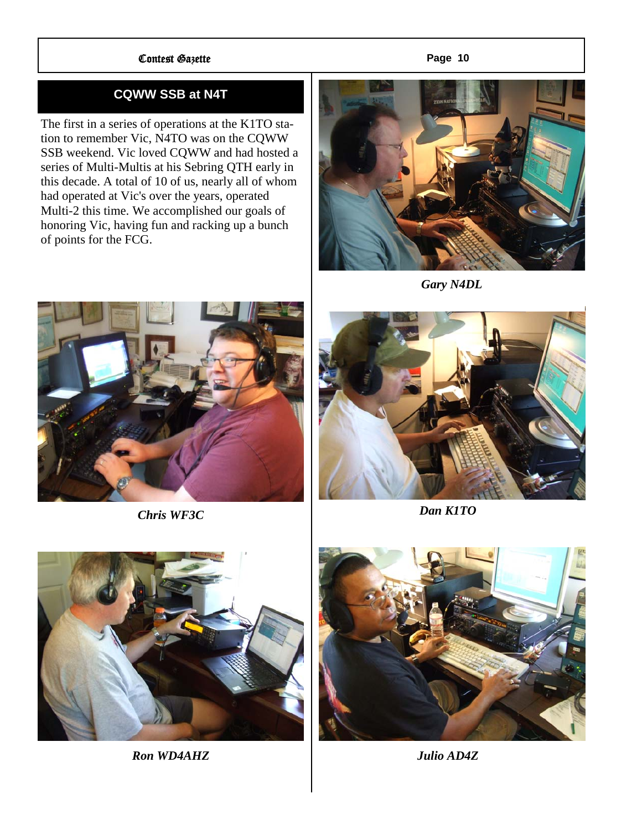### **CQWW SSB at N4T**

The first in a series of operations at the K1TO station to remember Vic, N4TO was on the CQWW SSB weekend. Vic loved CQWW and had hosted a series of Multi-Multis at his Sebring QTH early in this decade. A total of 10 of us, nearly all of whom had operated at Vic's over the years, operated Multi-2 this time. We accomplished our goals of honoring Vic, having fun and racking up a bunch of points for the FCG.



*Gary N4DL* 



*Chris WF3C* 



*Dan K1TO* 



*Ron WD4AHZ* 



*Julio AD4Z*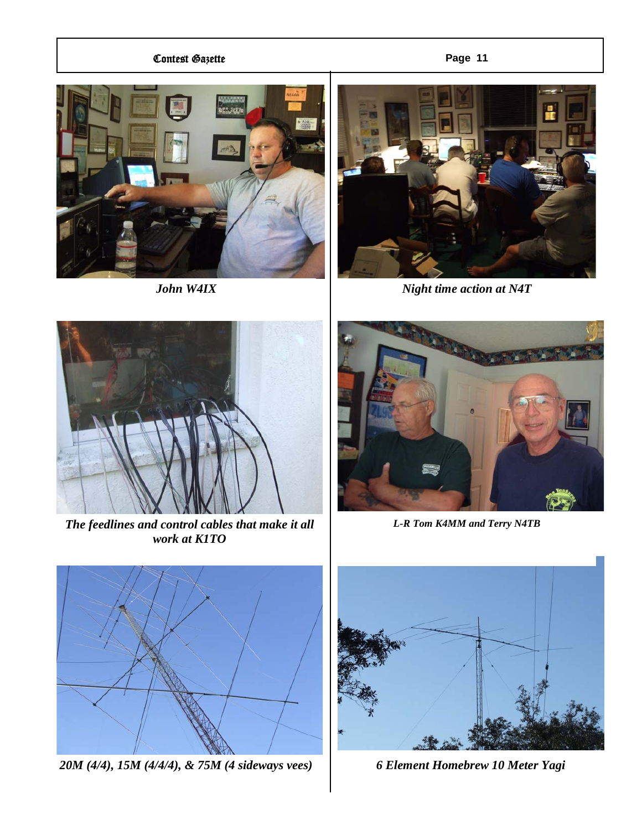

*John W4IX* 



*Night time action at N4T* 



*The feedlines and control cables that make it all work at K1TO* 



*L-R Tom K4MM and Terry N4TB* 



*20M (4/4), 15M (4/4/4), & 75M (4 sideways vees) 6 Element Homebrew 10 Meter Yagi*